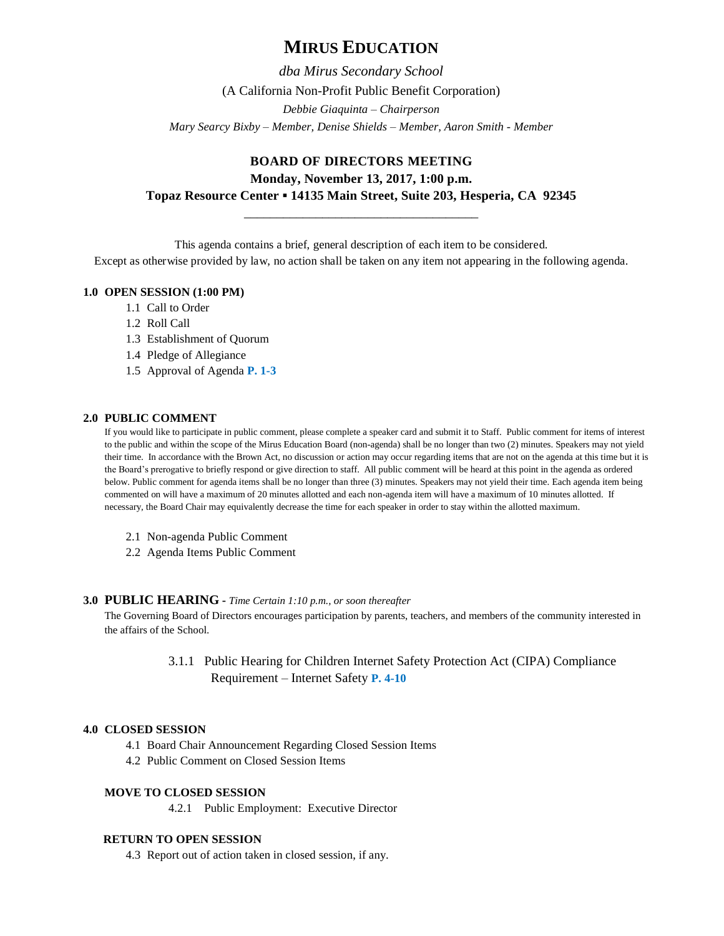# **MIRUS EDUCATION**

*dba Mirus Secondary School* (A California Non-Profit Public Benefit Corporation) *Debbie Giaquinta – Chairperson Mary Searcy Bixby – Member, Denise Shields – Member, Aaron Smith - Member*

# **BOARD OF DIRECTORS MEETING Monday, November 13, 2017, 1:00 p.m. Topaz Resource Center ▪ 14135 Main Street, Suite 203, Hesperia, CA 92345**

\_\_\_\_\_\_\_\_\_\_\_\_\_\_\_\_\_\_\_\_\_\_\_\_\_\_\_\_\_\_\_\_\_\_\_\_

This agenda contains a brief, general description of each item to be considered.

# Except as otherwise provided by law, no action shall be taken on any item not appearing in the following agenda.

# **1.0 OPEN SESSION (1:00 PM)**

- 1.1 Call to Order
- 1.2 Roll Call
- 1.3 Establishment of Quorum
- 1.4 Pledge of Allegiance
- 1.5 Approval of Agenda **P. 1-3**

# **2.0 PUBLIC COMMENT**

If you would like to participate in public comment, please complete a speaker card and submit it to Staff. Public comment for items of interest to the public and within the scope of the Mirus Education Board (non-agenda) shall be no longer than two (2) minutes. Speakers may not yield their time. In accordance with the Brown Act, no discussion or action may occur regarding items that are not on the agenda at this time but it is the Board's prerogative to briefly respond or give direction to staff. All public comment will be heard at this point in the agenda as ordered below. Public comment for agenda items shall be no longer than three (3) minutes. Speakers may not yield their time. Each agenda item being commented on will have a maximum of 20 minutes allotted and each non-agenda item will have a maximum of 10 minutes allotted. If necessary, the Board Chair may equivalently decrease the time for each speaker in order to stay within the allotted maximum.

- 2.1 Non-agenda Public Comment
- 2.2 Agenda Items Public Comment

# **3.0 PUBLIC HEARING -** *Time Certain 1:10 p.m., or soon thereafter*

The Governing Board of Directors encourages participation by parents, teachers, and members of the community interested in the affairs of the School.

> 3.1.1 Public Hearing for Children Internet Safety Protection Act (CIPA) Compliance Requirement – Internet Safety **P. 4-10**

# **4.0 CLOSED SESSION**

- 4.1 Board Chair Announcement Regarding Closed Session Items
- 4.2 Public Comment on Closed Session Items

# **MOVE TO CLOSED SESSION**

4.2.1 Public Employment: Executive Director

# **RETURN TO OPEN SESSION**

4.3 Report out of action taken in closed session, if any.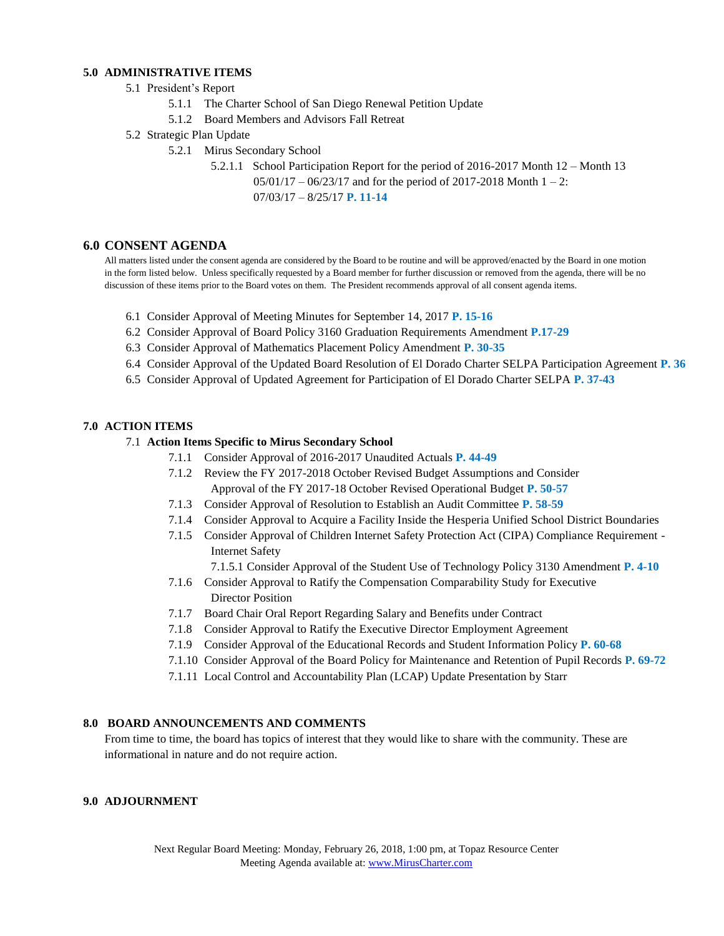## **5.0 ADMINISTRATIVE ITEMS**

#### 5.1 President's Report

- 5.1.1 The Charter School of San Diego Renewal Petition Update
- 5.1.2 Board Members and Advisors Fall Retreat
- 5.2 Strategic Plan Update
	- 5.2.1 Mirus Secondary School
		- 5.2.1.1 School Participation Report for the period of 2016-2017 Month 12 Month 13

05/01/17 – 06/23/17 and for the period of 2017-2018 Month 1 – 2: 07/03/17 – 8/25/17 **P. 11-14**

### **6.0 CONSENT AGENDA**

All matters listed under the consent agenda are considered by the Board to be routine and will be approved/enacted by the Board in one motion in the form listed below. Unless specifically requested by a Board member for further discussion or removed from the agenda, there will be no discussion of these items prior to the Board votes on them. The President recommends approval of all consent agenda items.

- 6.1 Consider Approval of Meeting Minutes for September 14, 2017 **P. 15-16**
- 6.2 Consider Approval of Board Policy 3160 Graduation Requirements Amendment **P.17-29**
- 6.3 Consider Approval of Mathematics Placement Policy Amendment **P. 30-35**
- 6.4 Consider Approval of the Updated Board Resolution of El Dorado Charter SELPA Participation Agreement **P. 36**
- 6.5 Consider Approval of Updated Agreement for Participation of El Dorado Charter SELPA **P. 37-43**

#### **7.0 ACTION ITEMS**

#### 7.1 **Action Items Specific to Mirus Secondary School**

- 7.1.1 Consider Approval of 2016-2017 Unaudited Actuals **P. 44-49**
- 7.1.2 Review the FY 2017-2018 October Revised Budget Assumptions and Consider Approval of the FY 2017-18 October Revised Operational Budget **P. 50-57**
- 7.1.3 Consider Approval of Resolution to Establish an Audit Committee **P. 58-59**
- 7.1.4 Consider Approval to Acquire a Facility Inside the Hesperia Unified School District Boundaries
- 7.1.5 Consider Approval of Children Internet Safety Protection Act (CIPA) Compliance Requirement Internet Safety

7.1.5.1 Consider Approval of the Student Use of Technology Policy 3130 Amendment **P. 4-10**

- 7.1.6 Consider Approval to Ratify the Compensation Comparability Study for Executive Director Position
- 7.1.7 Board Chair Oral Report Regarding Salary and Benefits under Contract
- 7.1.8 Consider Approval to Ratify the Executive Director Employment Agreement
- 7.1.9 Consider Approval of the Educational Records and Student Information Policy **P. 60-68**
- 7.1.10 Consider Approval of the Board Policy for Maintenance and Retention of Pupil Records **P. 69-72**
- 7.1.11 Local Control and Accountability Plan (LCAP) Update Presentation by Starr

### **8.0 BOARD ANNOUNCEMENTS AND COMMENTS**

From time to time, the board has topics of interest that they would like to share with the community. These are informational in nature and do not require action.

## **9.0 ADJOURNMENT**